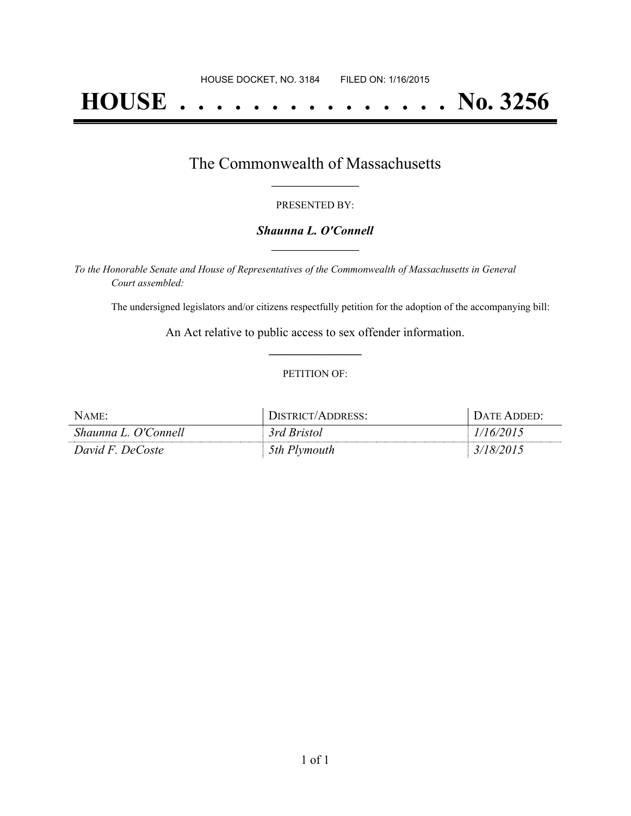# **HOUSE . . . . . . . . . . . . . . . No. 3256**

### The Commonwealth of Massachusetts **\_\_\_\_\_\_\_\_\_\_\_\_\_\_\_\_\_**

#### PRESENTED BY:

#### *Shaunna L. O'Connell* **\_\_\_\_\_\_\_\_\_\_\_\_\_\_\_\_\_**

*To the Honorable Senate and House of Representatives of the Commonwealth of Massachusetts in General Court assembled:*

The undersigned legislators and/or citizens respectfully petition for the adoption of the accompanying bill:

An Act relative to public access to sex offender information. **\_\_\_\_\_\_\_\_\_\_\_\_\_\_\_**

#### PETITION OF:

| NAME:                          | $\cdot$ Hernion's<br><b>DDRESS:</b><br>$\Delta$ 1 | <b>LATE</b> |
|--------------------------------|---------------------------------------------------|-------------|
| Shaunna L. O'C<br>Connell      | ≺rd<br>Bristol                                    |             |
| David $F_{\cdot}$ .<br>DeCoste | 5th<br>mouth                                      |             |